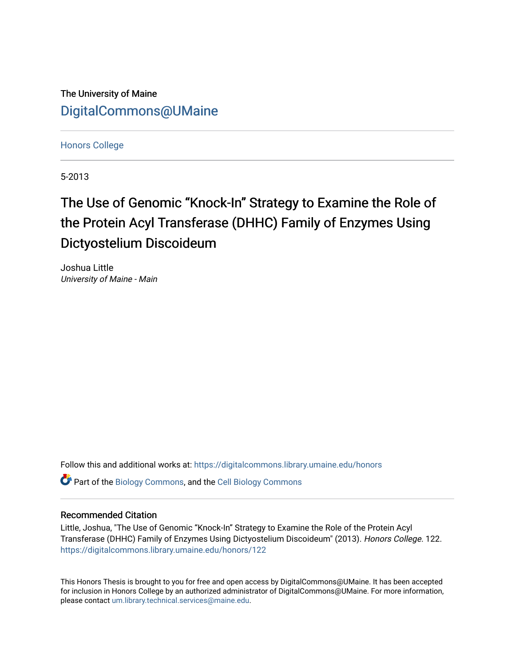The University of Maine [DigitalCommons@UMaine](https://digitalcommons.library.umaine.edu/)

[Honors College](https://digitalcommons.library.umaine.edu/honors)

5-2013

# The Use of Genomic "Knock-In" Strategy to Examine the Role of the Protein Acyl Transferase (DHHC) Family of Enzymes Using Dictyostelium Discoideum

Joshua Little University of Maine - Main

Follow this and additional works at: [https://digitalcommons.library.umaine.edu/honors](https://digitalcommons.library.umaine.edu/honors?utm_source=digitalcommons.library.umaine.edu%2Fhonors%2F122&utm_medium=PDF&utm_campaign=PDFCoverPages) 

Part of the [Biology Commons,](http://network.bepress.com/hgg/discipline/41?utm_source=digitalcommons.library.umaine.edu%2Fhonors%2F122&utm_medium=PDF&utm_campaign=PDFCoverPages) and the [Cell Biology Commons](http://network.bepress.com/hgg/discipline/10?utm_source=digitalcommons.library.umaine.edu%2Fhonors%2F122&utm_medium=PDF&utm_campaign=PDFCoverPages)

#### Recommended Citation

Little, Joshua, "The Use of Genomic "Knock-In" Strategy to Examine the Role of the Protein Acyl Transferase (DHHC) Family of Enzymes Using Dictyostelium Discoideum" (2013). Honors College. 122. [https://digitalcommons.library.umaine.edu/honors/122](https://digitalcommons.library.umaine.edu/honors/122?utm_source=digitalcommons.library.umaine.edu%2Fhonors%2F122&utm_medium=PDF&utm_campaign=PDFCoverPages) 

This Honors Thesis is brought to you for free and open access by DigitalCommons@UMaine. It has been accepted for inclusion in Honors College by an authorized administrator of DigitalCommons@UMaine. For more information, please contact [um.library.technical.services@maine.edu.](mailto:um.library.technical.services@maine.edu)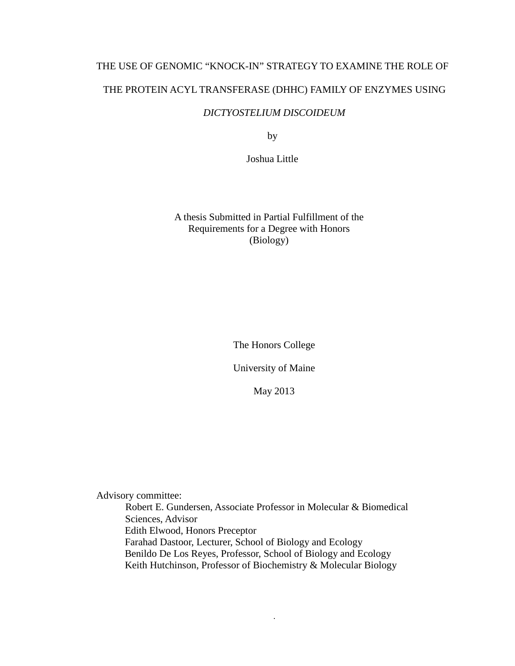## THE USE OF GENOMIC "KNOCK-IN" STRATEGY TO EXAMINE THE ROLE OF THE PROTEIN ACYL TRANSFERASE (DHHC) FAMILY OF ENZYMES USING

### *DICTYOSTELIUM DISCOIDEUM*

by

Joshua Little

A thesis Submitted in Partial Fulfillment of the Requirements for a Degree with Honors (Biology)

The Honors College

University of Maine

May 2013

Advisory committee:

Robert E. Gundersen, Associate Professor in Molecular & Biomedical Sciences, Advisor Edith Elwood, Honors Preceptor Farahad Dastoor, Lecturer, School of Biology and Ecology Benildo De Los Reyes, Professor, School of Biology and Ecology Keith Hutchinson, Professor of Biochemistry & Molecular Biology

i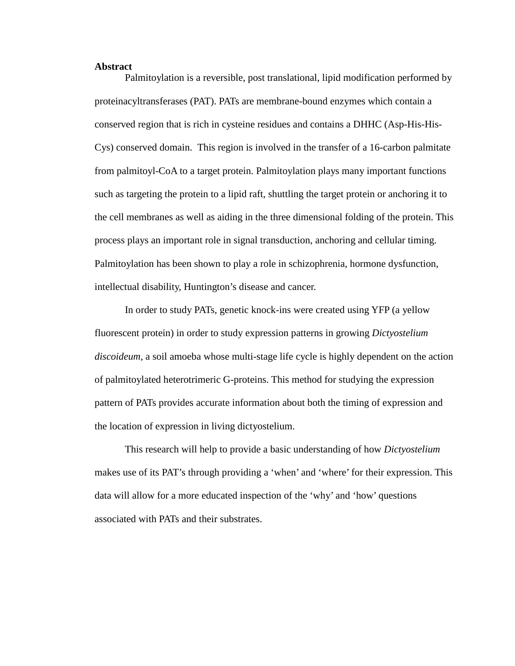#### <span id="page-2-0"></span>**Abstract**

Palmitoylation is a reversible, post translational, lipid modification performed by proteinacyltransferases (PAT). PATs are membrane-bound enzymes which contain a conserved region that is rich in cysteine residues and contains a DHHC (Asp-His-His-Cys) conserved domain. This region is involved in the transfer of a 16-carbon palmitate from palmitoyl-CoA to a target protein. Palmitoylation plays many important functions such as targeting the protein to a lipid raft, shuttling the target protein or anchoring it to the cell membranes as well as aiding in the three dimensional folding of the protein. This process plays an important role in signal transduction, anchoring and cellular timing. Palmitoylation has been shown to play a role in schizophrenia, hormone dysfunction, intellectual disability, Huntington's disease and cancer.

In order to study PATs, genetic knock-ins were created using YFP (a yellow fluorescent protein) in order to study expression patterns in growing *Dictyostelium discoideum*, a soil amoeba whose multi-stage life cycle is highly dependent on the action of palmitoylated heterotrimeric G-proteins. This method for studying the expression pattern of PATs provides accurate information about both the timing of expression and the location of expression in living dictyostelium.

This research will help to provide a basic understanding of how *Dictyostelium* makes use of its PAT's through providing a 'when' and 'where' for their expression. This data will allow for a more educated inspection of the 'why' and 'how' questions associated with PATs and their substrates.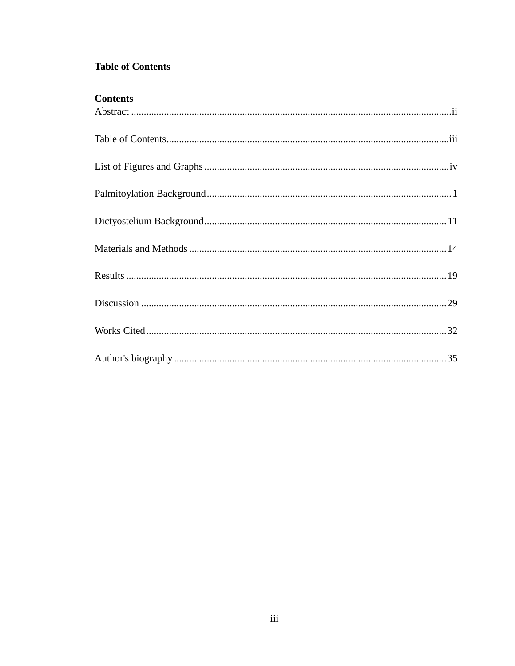## <span id="page-3-0"></span>**Table of Contents**

## **Contents**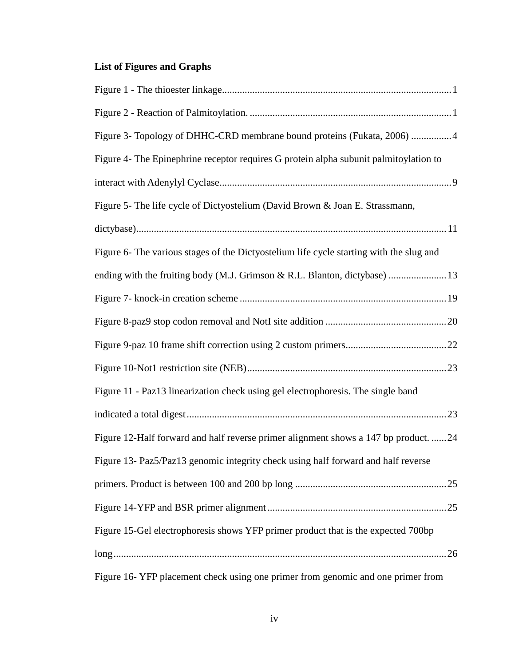## <span id="page-4-0"></span>**List of Figures and Graphs**

| Figure 3- Topology of DHHC-CRD membrane bound proteins (Fukata, 2006) 4                 |
|-----------------------------------------------------------------------------------------|
| Figure 4- The Epinephrine receptor requires G protein alpha subunit palmitoylation to   |
|                                                                                         |
| Figure 5- The life cycle of Dictyostelium (David Brown & Joan E. Strassmann,            |
|                                                                                         |
| Figure 6- The various stages of the Dictyostelium life cycle starting with the slug and |
| ending with the fruiting body (M.J. Grimson & R.L. Blanton, dictybase)  13              |
|                                                                                         |
|                                                                                         |
|                                                                                         |
|                                                                                         |
| Figure 11 - Paz13 linearization check using gel electrophoresis. The single band        |
|                                                                                         |
| Figure 12-Half forward and half reverse primer alignment shows a 147 bp product. 24     |
| Figure 13- Paz5/Paz13 genomic integrity check using half forward and half reverse       |
|                                                                                         |
|                                                                                         |
| Figure 15-Gel electrophoresis shows YFP primer product that is the expected 700bp       |
|                                                                                         |
| Figure 16-YFP placement check using one primer from genomic and one primer from         |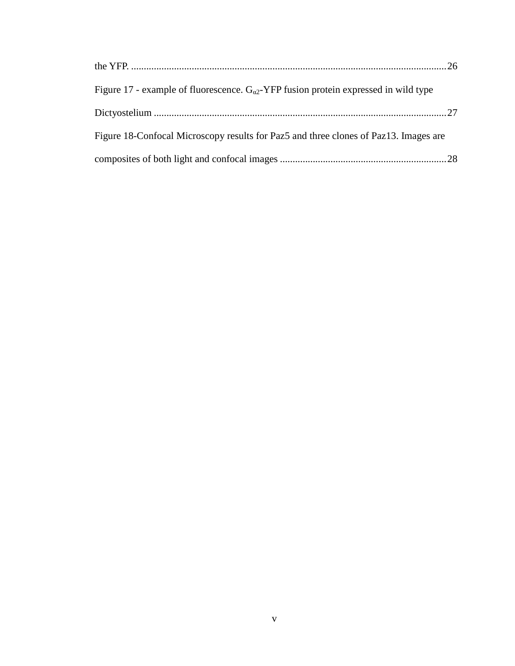<span id="page-5-0"></span>

| Figure 17 - example of fluorescence. $G_{\alpha2}$ -YFP fusion protein expressed in wild type |  |
|-----------------------------------------------------------------------------------------------|--|
|                                                                                               |  |
| Figure 18-Confocal Microscopy results for Paz5 and three clones of Paz13. Images are          |  |
|                                                                                               |  |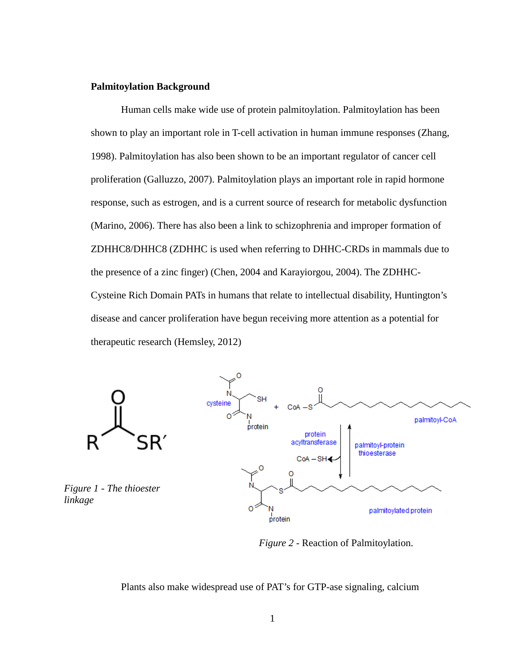#### **Palmitoylation Background**

Human cells make wide use of protein palmitoylation. Palmitoylation has been shown to play an important role in T-cell activation in human immune responses (Zhang, 1998). Palmitoylation has also been shown to be an important regulator of cancer cell proliferation (Galluzzo, 2007). Palmitoylation plays an important role in rapid hormone response, such as estrogen, and is a current source of research for metabolic dysfunction (Marino, 2006). There has also been a link to schizophrenia and improper formation of ZDHHC8/DHHC8 (ZDHHC is used when referring to DHHC-CRDs in mammals due to the presence of a zinc finger) (Chen, 2004 and Karayiorgou, 2004). The ZDHHC-Cysteine Rich Domain PATs in humans that relate to intellectual disability, Huntington's disease and cancer proliferation have begun receiving more attention as a potential for therapeutic research (Hemsley, 2012)



*Figure 2* - Reaction of Palmitoylation.

Plants also make widespread use of PAT's for GTP-ase signaling, calcium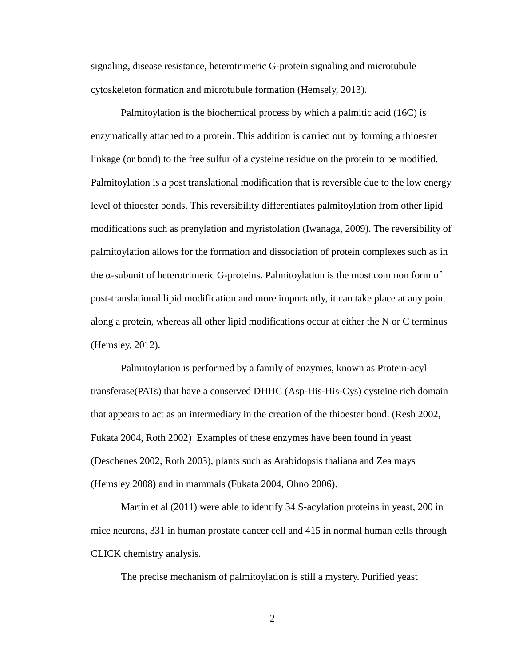signaling, disease resistance, heterotrimeric G-protein signaling and microtubule cytoskeleton formation and microtubule formation (Hemsely, 2013).

Palmitoylation is the biochemical process by which a palmitic acid (16C) is enzymatically attached to a protein. This addition is carried out by forming a thioester linkage (or bond) to the free sulfur of a cysteine residue on the protein to be modified. Palmitoylation is a post translational modification that is reversible due to the low energy level of thioester bonds. This reversibility differentiates palmitoylation from other lipid modifications such as prenylation and myristolation (Iwanaga, 2009). The reversibility of palmitoylation allows for the formation and dissociation of protein complexes such as in the α-subunit of heterotrimeric G-proteins. Palmitoylation is the most common form of post-translational lipid modification and more importantly, it can take place at any point along a protein, whereas all other lipid modifications occur at either the N or C terminus (Hemsley, 2012).

Palmitoylation is performed by a family of enzymes, known as Protein-acyl transferase(PATs) that have a conserved DHHC (Asp-His-His-Cys) cysteine rich domain that appears to act as an intermediary in the creation of the thioester bond. (Resh 2002, Fukata 2004, Roth 2002) Examples of these enzymes have been found in yeast (Deschenes 2002, Roth 2003), plants such as Arabidopsis thaliana and Zea mays (Hemsley 2008) and in mammals (Fukata 2004, Ohno 2006).

Martin et al (2011) were able to identify 34 S-acylation proteins in yeast, 200 in mice neurons, 331 in human prostate cancer cell and 415 in normal human cells through CLICK chemistry analysis.

The precise mechanism of palmitoylation is still a mystery. Purified yeast

2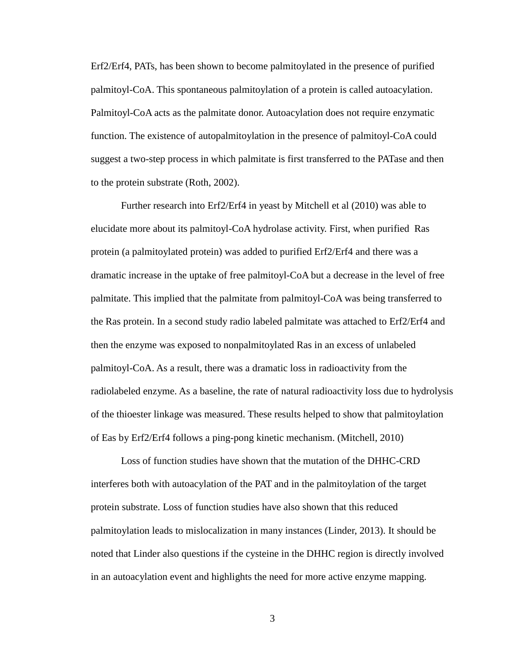Erf2/Erf4, PATs, has been shown to become palmitoylated in the presence of purified palmitoyl-CoA. This spontaneous palmitoylation of a protein is called autoacylation. Palmitoyl-CoA acts as the palmitate donor. Autoacylation does not require enzymatic function. The existence of autopalmitoylation in the presence of palmitoyl-CoA could suggest a two-step process in which palmitate is first transferred to the PATase and then to the protein substrate (Roth, 2002).

Further research into Erf2/Erf4 in yeast by Mitchell et al (2010) was able to elucidate more about its palmitoyl-CoA hydrolase activity. First, when purified Ras protein (a palmitoylated protein) was added to purified Erf2/Erf4 and there was a dramatic increase in the uptake of free palmitoyl-CoA but a decrease in the level of free palmitate. This implied that the palmitate from palmitoyl-CoA was being transferred to the Ras protein. In a second study radio labeled palmitate was attached to Erf2/Erf4 and then the enzyme was exposed to nonpalmitoylated Ras in an excess of unlabeled palmitoyl-CoA. As a result, there was a dramatic loss in radioactivity from the radiolabeled enzyme. As a baseline, the rate of natural radioactivity loss due to hydrolysis of the thioester linkage was measured. These results helped to show that palmitoylation of Eas by Erf2/Erf4 follows a ping-pong kinetic mechanism. (Mitchell, 2010)

Loss of function studies have shown that the mutation of the DHHC-CRD interferes both with autoacylation of the PAT and in the palmitoylation of the target protein substrate. Loss of function studies have also shown that this reduced palmitoylation leads to mislocalization in many instances (Linder, 2013). It should be noted that Linder also questions if the cysteine in the DHHC region is directly involved in an autoacylation event and highlights the need for more active enzyme mapping.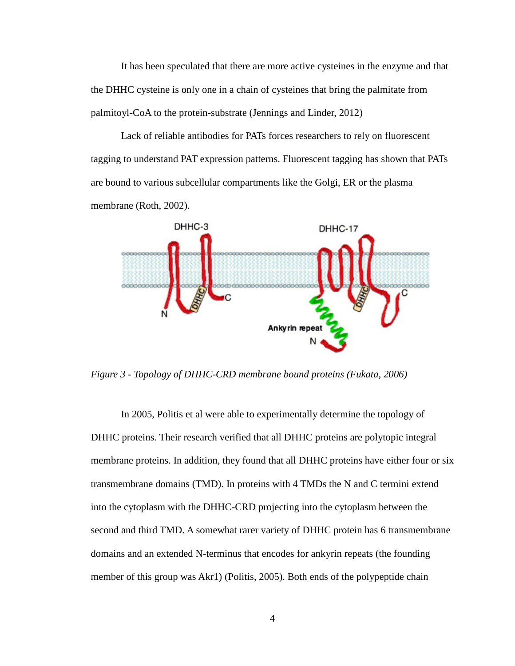It has been speculated that there are more active cysteines in the enzyme and that the DHHC cysteine is only one in a chain of cysteines that bring the palmitate from palmitoyl-CoA to the protein-substrate (Jennings and Linder, 2012)

Lack of reliable antibodies for PATs forces researchers to rely on fluorescent tagging to understand PAT expression patterns. Fluorescent tagging has shown that PATs are bound to various subcellular compartments like the Golgi, ER or the plasma membrane (Roth, 2002).



<span id="page-9-0"></span>*Figure 3 - Topology of DHHC-CRD membrane bound proteins (Fukata, 2006)*

In 2005, Politis et al were able to experimentally determine the topology of DHHC proteins. Their research verified that all DHHC proteins are polytopic integral membrane proteins. In addition, they found that all DHHC proteins have either four or six transmembrane domains (TMD). In proteins with 4 TMDs the N and C termini extend into the cytoplasm with the DHHC-CRD projecting into the cytoplasm between the second and third TMD. A somewhat rarer variety of DHHC protein has 6 transmembrane domains and an extended N-terminus that encodes for ankyrin repeats (the founding member of this group was Akr1) (Politis, 2005). Both ends of the polypeptide chain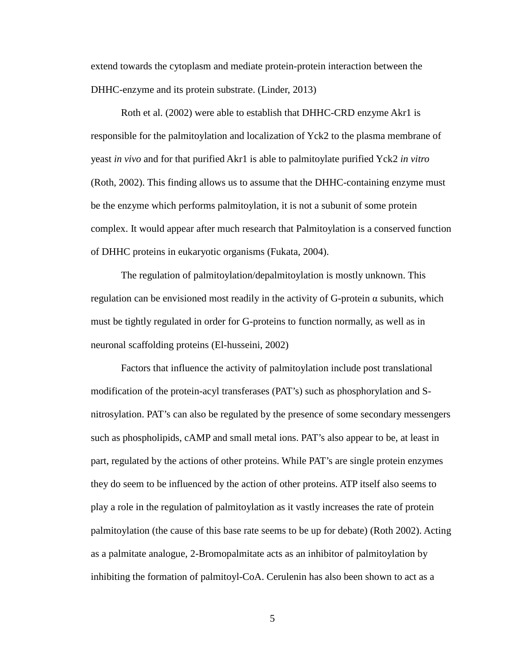extend towards the cytoplasm and mediate protein-protein interaction between the DHHC-enzyme and its protein substrate. (Linder, 2013)

Roth et al. (2002) were able to establish that DHHC-CRD enzyme Akr1 is responsible for the palmitoylation and localization of Yck2 to the plasma membrane of yeast *in vivo* and for that purified Akr1 is able to palmitoylate purified Yck2 *in vitro*  (Roth, 2002). This finding allows us to assume that the DHHC-containing enzyme must be the enzyme which performs palmitoylation, it is not a subunit of some protein complex. It would appear after much research that Palmitoylation is a conserved function of DHHC proteins in eukaryotic organisms (Fukata, 2004).

The regulation of palmitoylation/depalmitoylation is mostly unknown. This regulation can be envisioned most readily in the activity of G-protein α subunits, which must be tightly regulated in order for G-proteins to function normally, as well as in neuronal scaffolding proteins (El-husseini, 2002)

Factors that influence the activity of palmitoylation include post translational modification of the protein-acyl transferases (PAT's) such as phosphorylation and Snitrosylation. PAT's can also be regulated by the presence of some secondary messengers such as phospholipids, cAMP and small metal ions. PAT's also appear to be, at least in part, regulated by the actions of other proteins. While PAT's are single protein enzymes they do seem to be influenced by the action of other proteins. ATP itself also seems to play a role in the regulation of palmitoylation as it vastly increases the rate of protein palmitoylation (the cause of this base rate seems to be up for debate) (Roth 2002). Acting as a palmitate analogue, 2-Bromopalmitate acts as an inhibitor of palmitoylation by inhibiting the formation of palmitoyl-CoA. Cerulenin has also been shown to act as a

5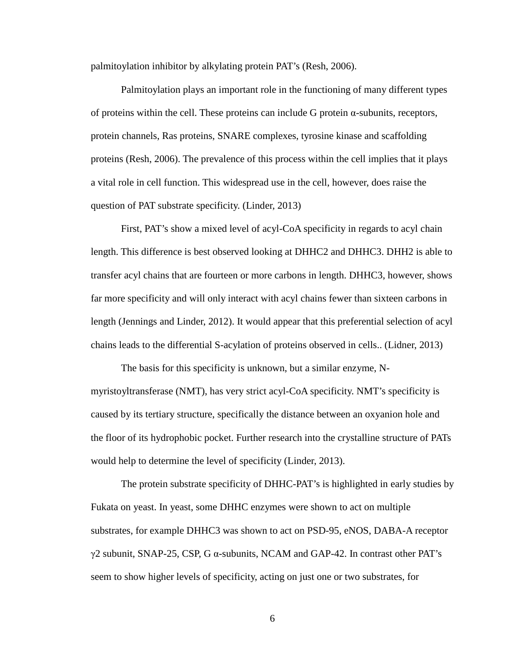palmitoylation inhibitor by alkylating protein PAT's (Resh, 2006).

Palmitoylation plays an important role in the functioning of many different types of proteins within the cell. These proteins can include G protein α-subunits, receptors, protein channels, Ras proteins, SNARE complexes, tyrosine kinase and scaffolding proteins (Resh, 2006). The prevalence of this process within the cell implies that it plays a vital role in cell function. This widespread use in the cell, however, does raise the question of PAT substrate specificity. (Linder, 2013)

First, PAT's show a mixed level of acyl-CoA specificity in regards to acyl chain length. This difference is best observed looking at DHHC2 and DHHC3. DHH2 is able to transfer acyl chains that are fourteen or more carbons in length. DHHC3, however, shows far more specificity and will only interact with acyl chains fewer than sixteen carbons in length (Jennings and Linder, 2012). It would appear that this preferential selection of acyl chains leads to the differential S-acylation of proteins observed in cells.. (Lidner, 2013)

The basis for this specificity is unknown, but a similar enzyme, Nmyristoyltransferase (NMT), has very strict acyl-CoA specificity. NMT's specificity is caused by its tertiary structure, specifically the distance between an oxyanion hole and the floor of its hydrophobic pocket. Further research into the crystalline structure of PATs would help to determine the level of specificity (Linder, 2013).

The protein substrate specificity of DHHC-PAT's is highlighted in early studies by Fukata on yeast. In yeast, some DHHC enzymes were shown to act on multiple substrates, for example DHHC3 was shown to act on PSD-95, eNOS, DABA-A receptor  $γ2$  subunit, SNAP-25, CSP, G  $α$ -subunits, NCAM and GAP-42. In contrast other PAT's seem to show higher levels of specificity, acting on just one or two substrates, for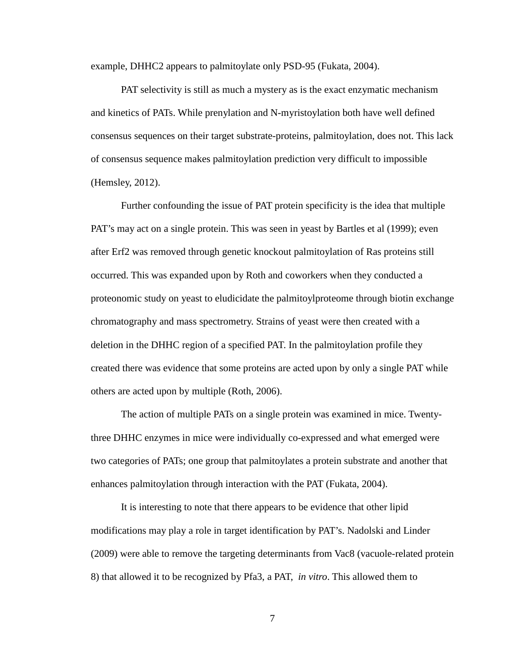example, DHHC2 appears to palmitoylate only PSD-95 (Fukata, 2004).

PAT selectivity is still as much a mystery as is the exact enzymatic mechanism and kinetics of PATs. While prenylation and N-myristoylation both have well defined consensus sequences on their target substrate-proteins, palmitoylation, does not. This lack of consensus sequence makes palmitoylation prediction very difficult to impossible (Hemsley, 2012).

Further confounding the issue of PAT protein specificity is the idea that multiple PAT's may act on a single protein. This was seen in yeast by Bartles et al (1999); even after Erf2 was removed through genetic knockout palmitoylation of Ras proteins still occurred. This was expanded upon by Roth and coworkers when they conducted a proteonomic study on yeast to eludicidate the palmitoylproteome through biotin exchange chromatography and mass spectrometry. Strains of yeast were then created with a deletion in the DHHC region of a specified PAT. In the palmitoylation profile they created there was evidence that some proteins are acted upon by only a single PAT while others are acted upon by multiple (Roth, 2006).

The action of multiple PATs on a single protein was examined in mice. Twentythree DHHC enzymes in mice were individually co-expressed and what emerged were two categories of PATs; one group that palmitoylates a protein substrate and another that enhances palmitoylation through interaction with the PAT (Fukata, 2004).

It is interesting to note that there appears to be evidence that other lipid modifications may play a role in target identification by PAT's. Nadolski and Linder (2009) were able to remove the targeting determinants from Vac8 (vacuole-related protein 8) that allowed it to be recognized by Pfa3, a PAT, *in vitro*. This allowed them to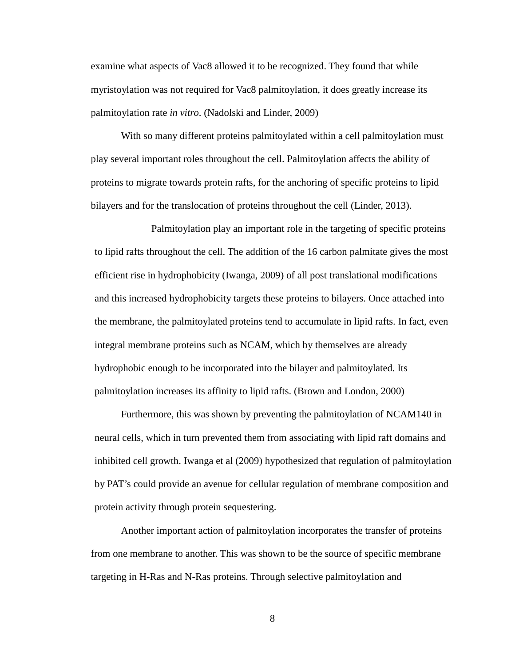examine what aspects of Vac8 allowed it to be recognized. They found that while myristoylation was not required for Vac8 palmitoylation, it does greatly increase its palmitoylation rate *in vitro*. (Nadolski and Linder, 2009)

With so many different proteins palmitoylated within a cell palmitoylation must play several important roles throughout the cell. Palmitoylation affects the ability of proteins to migrate towards protein rafts, for the anchoring of specific proteins to lipid bilayers and for the translocation of proteins throughout the cell (Linder, 2013).

Palmitoylation play an important role in the targeting of specific proteins to lipid rafts throughout the cell. The addition of the 16 carbon palmitate gives the most efficient rise in hydrophobicity (Iwanga, 2009) of all post translational modifications and this increased hydrophobicity targets these proteins to bilayers. Once attached into the membrane, the palmitoylated proteins tend to accumulate in lipid rafts. In fact, even integral membrane proteins such as NCAM, which by themselves are already hydrophobic enough to be incorporated into the bilayer and palmitoylated. Its palmitoylation increases its affinity to lipid rafts. (Brown and London, 2000)

Furthermore, this was shown by preventing the palmitoylation of NCAM140 in neural cells, which in turn prevented them from associating with lipid raft domains and inhibited cell growth. Iwanga et al (2009) hypothesized that regulation of palmitoylation by PAT's could provide an avenue for cellular regulation of membrane composition and protein activity through protein sequestering.

Another important action of palmitoylation incorporates the transfer of proteins from one membrane to another. This was shown to be the source of specific membrane targeting in H-Ras and N-Ras proteins. Through selective palmitoylation and

8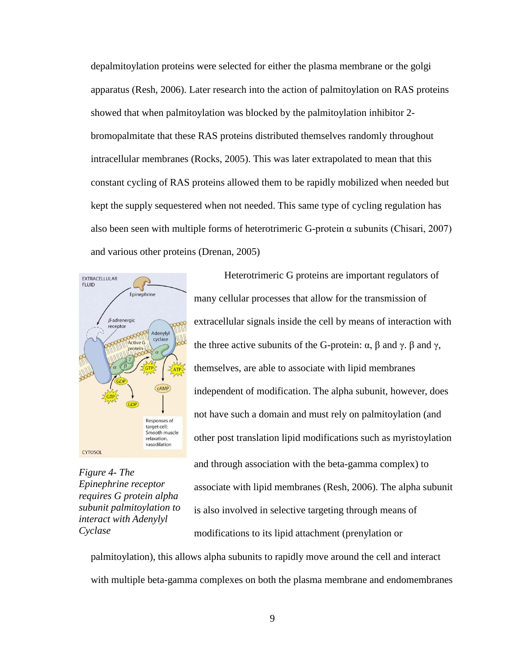depalmitoylation proteins were selected for either the plasma membrane or the golgi apparatus (Resh, 2006). Later research into the action of palmitoylation on RAS proteins showed that when palmitoylation was blocked by the palmitoylation inhibitor 2 bromopalmitate that these RAS proteins distributed themselves randomly throughout intracellular membranes (Rocks, 2005). This was later extrapolated to mean that this constant cycling of RAS proteins allowed them to be rapidly mobilized when needed but kept the supply sequestered when not needed. This same type of cycling regulation has also been seen with multiple forms of heterotrimeric G-protein  $\alpha$  subunits (Chisari, 2007) and various other proteins (Drenan, 2005)



*Figure 4- The Epinephrine receptor requires G protein alpha subunit palmitoylation to interact with Adenylyl Cyclase*

Heterotrimeric G proteins are important regulators of many cellular processes that allow for the transmission of extracellular signals inside the cell by means of interaction with the three active subunits of the G-protein:  $\alpha$ ,  $\beta$  and  $\gamma$ .  $\beta$  and  $\gamma$ , themselves, are able to associate with lipid membranes independent of modification. The alpha subunit, however, does not have such a domain and must rely on palmitoylation (and other post translation lipid modifications such as myristoylation and through association with the beta-gamma complex) to associate with lipid membranes (Resh, 2006). The alpha subunit is also involved in selective targeting through means of modifications to its lipid attachment (prenylation or

palmitoylation), this allows alpha subunits to rapidly move around the cell and interact with multiple beta-gamma complexes on both the plasma membrane and endomembranes

9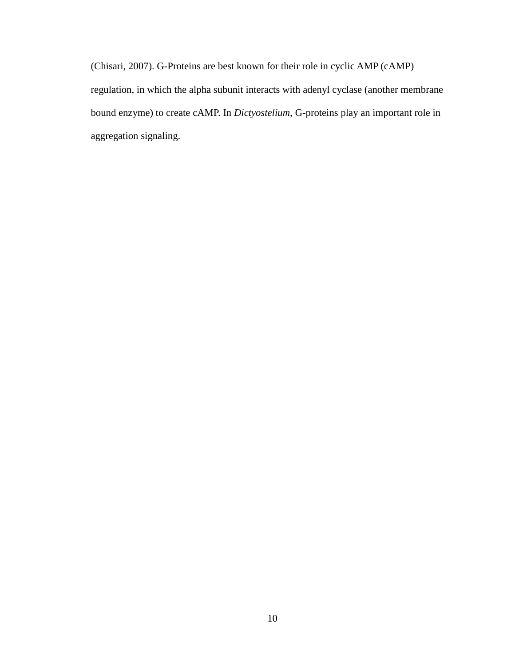(Chisari, 2007). G-Proteins are best known for their role in cyclic AMP (cAMP) regulation, in which the alpha subunit interacts with adenyl cyclase (another membrane bound enzyme) to create cAMP. In *Dictyostelium*, G-proteins play an important role in aggregation signaling.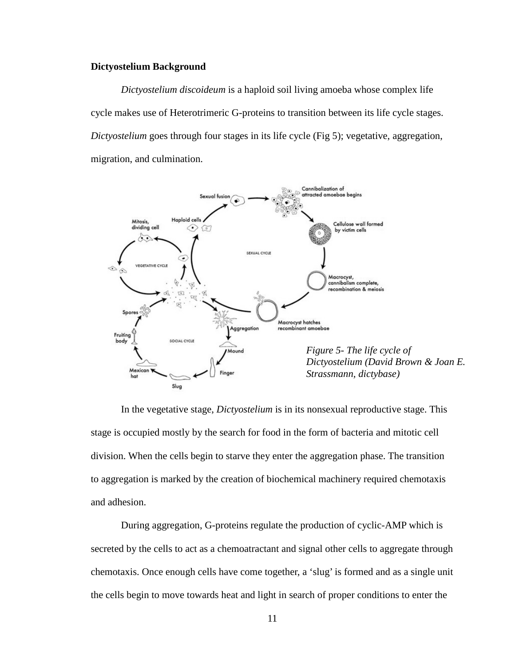#### <span id="page-16-0"></span>**Dictyostelium Background**

*Dictyostelium discoideum* is a haploid soil living amoeba whose complex life cycle makes use of Heterotrimeric G-proteins to transition between its life cycle stages. *Dictyostelium* goes through four stages in its life cycle (Fig 5); vegetative, aggregation, migration, and culmination.



In the vegetative stage, *Dictyostelium* is in its nonsexual reproductive stage. This stage is occupied mostly by the search for food in the form of bacteria and mitotic cell division. When the cells begin to starve they enter the aggregation phase. The transition to aggregation is marked by the creation of biochemical machinery required chemotaxis and adhesion.

During aggregation, G-proteins regulate the production of cyclic-AMP which is secreted by the cells to act as a chemoatractant and signal other cells to aggregate through chemotaxis. Once enough cells have come together, a 'slug' is formed and as a single unit the cells begin to move towards heat and light in search of proper conditions to enter the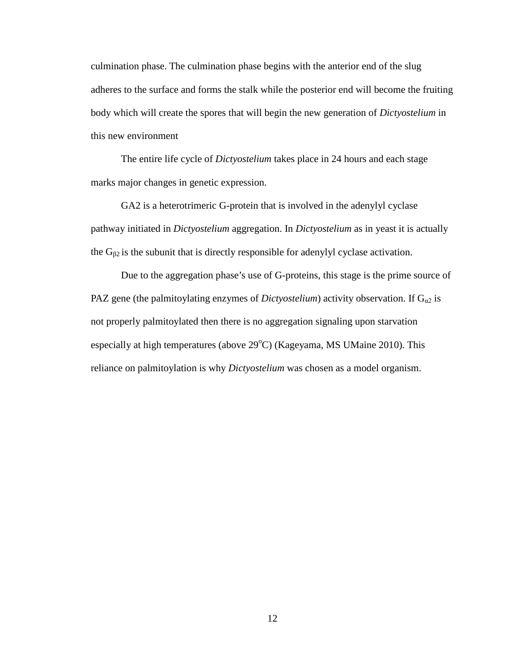culmination phase. The culmination phase begins with the anterior end of the slug adheres to the surface and forms the stalk while the posterior end will become the fruiting body which will create the spores that will begin the new generation of *Dictyostelium* in this new environment

The entire life cycle of *Dictyostelium* takes place in 24 hours and each stage marks major changes in genetic expression.

GA2 is a heterotrimeric G-protein that is involved in the adenylyl cyclase pathway initiated in *Dictyostelium* aggregation. In *Dictyostelium* as in yeast it is actually the  $G_{\beta2}$  is the subunit that is directly responsible for adenylyl cyclase activation.

Due to the aggregation phase's use of G-proteins, this stage is the prime source of PAZ gene (the palmitoylating enzymes of *Dictyostelium*) activity observation. If  $G_{\alpha 2}$  is not properly palmitoylated then there is no aggregation signaling upon starvation especially at high temperatures (above  $29^{\circ}$ C) (Kageyama, MS UMaine 2010). This reliance on palmitoylation is why *Dictyostelium* was chosen as a model organism.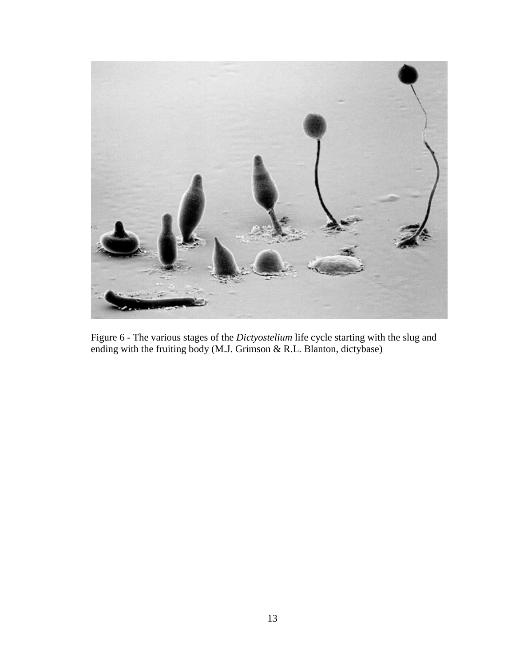

Figure 6 - The various stages of the *Dictyostelium* life cycle starting with the slug and ending with the fruiting body (M.J. Grimson & R.L. Blanton, dictybase)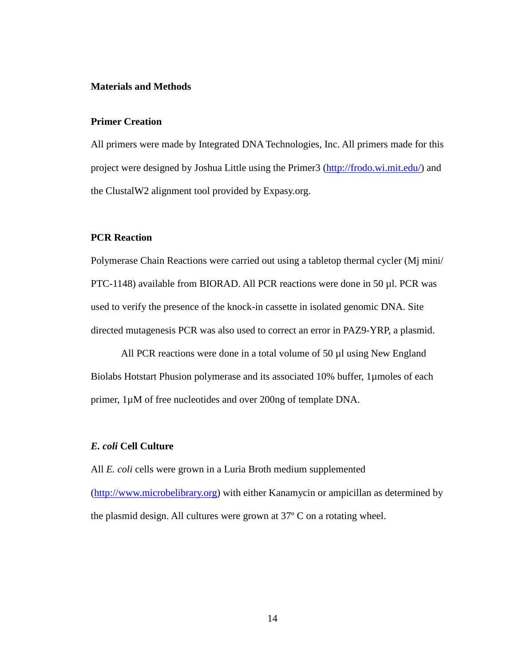#### <span id="page-19-0"></span>**Materials and Methods**

#### **Primer Creation**

All primers were made by Integrated DNA Technologies, Inc. All primers made for this project were designed by Joshua Little using the Primer3 [\(http://frodo.wi.mit.edu/\)](http://frodo.wi.mit.edu/) and the ClustalW2 alignment tool provided by Expasy.org.

#### **PCR Reaction**

Polymerase Chain Reactions were carried out using a tabletop thermal cycler (Mj mini/ PTC-1148) available from BIORAD. All PCR reactions were done in 50 µl. PCR was used to verify the presence of the knock-in cassette in isolated genomic DNA. Site directed mutagenesis PCR was also used to correct an error in PAZ9-YRP, a plasmid.

All PCR reactions were done in a total volume of 50 µl using New England Biolabs Hotstart Phusion polymerase and its associated 10% buffer, 1µmoles of each primer, 1µM of free nucleotides and over 200ng of template DNA.

#### *E. coli* **Cell Culture**

All *E. coli* cells were grown in a Luria Broth medium supplemented [\(http://www.microbelibrary.org\)](http://www.microbelibrary.org/) with either Kanamycin or ampicillan as determined by the plasmid design. All cultures were grown at 37º C on a rotating wheel.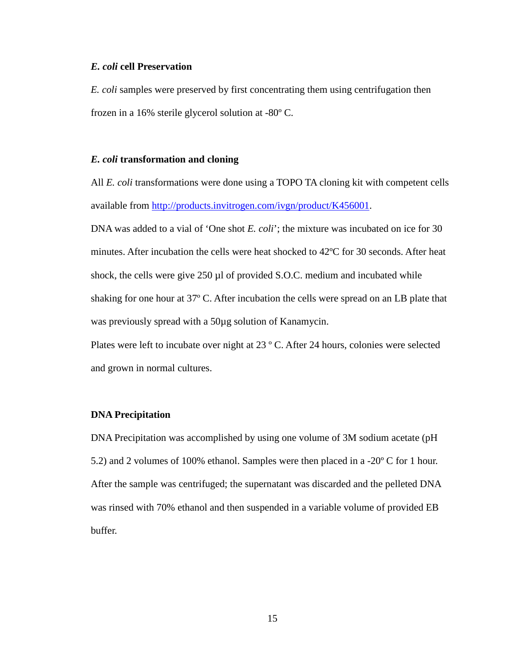#### *E. coli* **cell Preservation**

*E. coli* samples were preserved by first concentrating them using centrifugation then frozen in a 16% sterile glycerol solution at -80º C.

#### *E. coli* **transformation and cloning**

All *E. coli* transformations were done using a TOPO TA cloning kit with competent cells available from [http://products.invitrogen.com/ivgn/product/K456001.](http://products.invitrogen.com/ivgn/product/K456001)

DNA was added to a vial of 'One shot *E. coli*'; the mixture was incubated on ice for 30 minutes. After incubation the cells were heat shocked to 42ºC for 30 seconds. After heat shock, the cells were give 250 µl of provided S.O.C. medium and incubated while shaking for one hour at 37º C. After incubation the cells were spread on an LB plate that was previously spread with a 50 $\mu$ g solution of Kanamycin.

Plates were left to incubate over night at 23 º C. After 24 hours, colonies were selected and grown in normal cultures.

#### **DNA Precipitation**

DNA Precipitation was accomplished by using one volume of 3M sodium acetate (pH 5.2) and 2 volumes of 100% ethanol. Samples were then placed in a -20º C for 1 hour. After the sample was centrifuged; the supernatant was discarded and the pelleted DNA was rinsed with 70% ethanol and then suspended in a variable volume of provided EB buffer.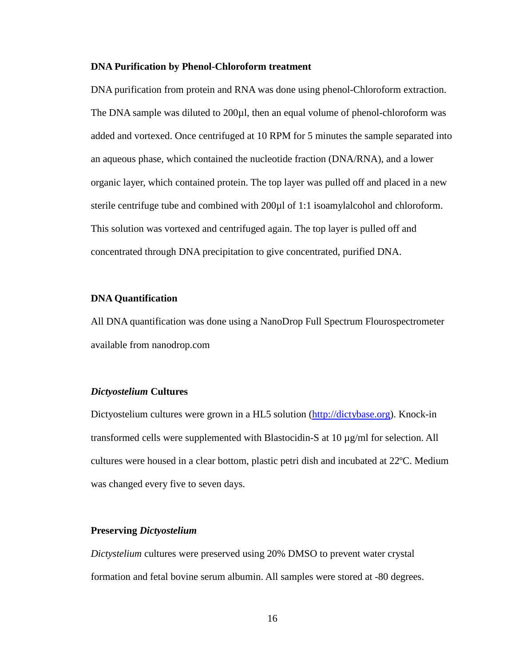#### **DNA Purification by Phenol-Chloroform treatment**

DNA purification from protein and RNA was done using phenol-Chloroform extraction. The DNA sample was diluted to 200µl, then an equal volume of phenol-chloroform was added and vortexed. Once centrifuged at 10 RPM for 5 minutes the sample separated into an aqueous phase, which contained the nucleotide fraction (DNA/RNA), and a lower organic layer, which contained protein. The top layer was pulled off and placed in a new sterile centrifuge tube and combined with 200 $\mu$ l of 1:1 isoamylalcohol and chloroform. This solution was vortexed and centrifuged again. The top layer is pulled off and concentrated through DNA precipitation to give concentrated, purified DNA.

#### **DNA Quantification**

All DNA quantification was done using a NanoDrop Full Spectrum Flourospectrometer available from nanodrop.com

#### *Dictyostelium* **Cultures**

Dictyostelium cultures were grown in a HL5 solution (http://dictybase.org). Knock-in transformed cells were supplemented with Blastocidin-S at  $10 \mu g/ml$  for selection. All cultures were housed in a clear bottom, plastic petri dish and incubated at 22ºC. Medium was changed every five to seven days.

#### **Preserving** *Dictyostelium*

*Dictystelium* cultures were preserved using 20% DMSO to prevent water crystal formation and fetal bovine serum albumin. All samples were stored at -80 degrees.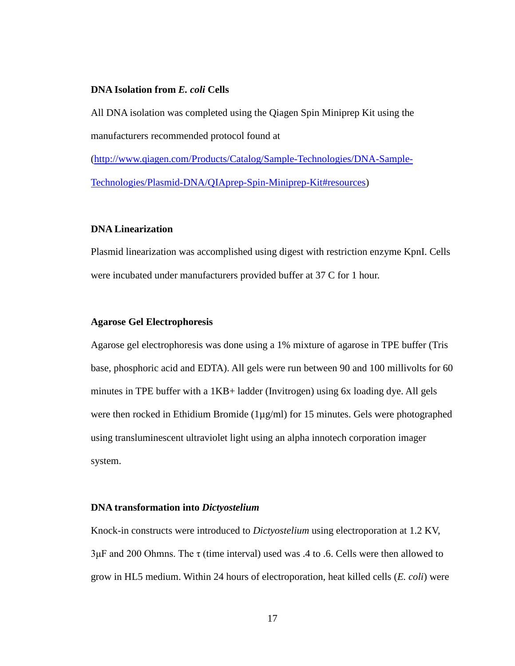#### **DNA Isolation from** *E. coli* **Cells**

All DNA isolation was completed using the Qiagen Spin Miniprep Kit using the manufacturers recommended protocol found at

[\(http://www.qiagen.com/Products/Catalog/Sample-Technologies/DNA-Sample-](http://www.qiagen.com/Products/Catalog/Sample-Technologies/DNA-Sample-Technologies/Plasmid-DNA/QIAprep-Spin-Miniprep-Kit#resources)[Technologies/Plasmid-DNA/QIAprep-Spin-Miniprep-Kit#resources\)](http://www.qiagen.com/Products/Catalog/Sample-Technologies/DNA-Sample-Technologies/Plasmid-DNA/QIAprep-Spin-Miniprep-Kit#resources)

#### **DNA Linearization**

Plasmid linearization was accomplished using digest with restriction enzyme KpnI. Cells were incubated under manufacturers provided buffer at 37 C for 1 hour.

#### **Agarose Gel Electrophoresis**

Agarose gel electrophoresis was done using a 1% mixture of agarose in TPE buffer (Tris base, phosphoric acid and EDTA). All gels were run between 90 and 100 millivolts for 60 minutes in TPE buffer with a 1KB+ ladder (Invitrogen) using 6x loading dye. All gels were then rocked in Ethidium Bromide (1µg/ml) for 15 minutes. Gels were photographed using transluminescent ultraviolet light using an alpha innotech corporation imager system.

#### **DNA transformation into** *Dictyostelium*

Knock-in constructs were introduced to *Dictyostelium* using electroporation at 1.2 KV,  $3\mu$ F and 200 Ohmns. The  $\tau$  (time interval) used was .4 to .6. Cells were then allowed to grow in HL5 medium. Within 24 hours of electroporation, heat killed cells (*E. coli*) were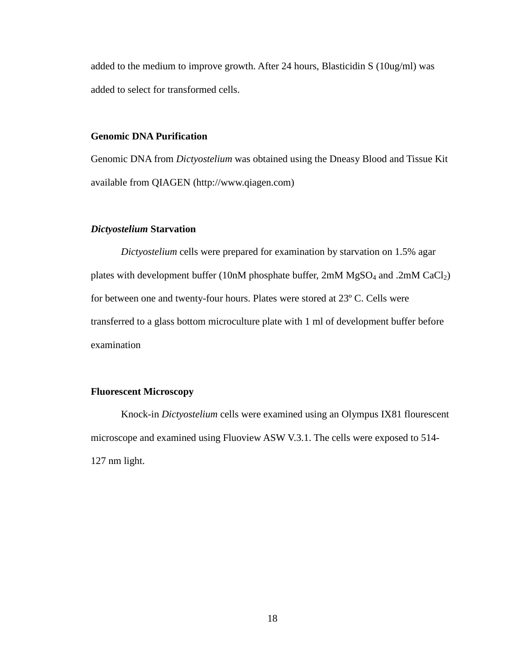added to the medium to improve growth. After 24 hours, Blasticidin S (10ug/ml) was added to select for transformed cells.

#### **Genomic DNA Purification**

Genomic DNA from *Dictyostelium* was obtained using the Dneasy Blood and Tissue Kit available from QIAGEN (http://www.qiagen.com)

#### *Dictyostelium* **Starvation**

*Dictyostelium* cells were prepared for examination by starvation on 1.5% agar plates with development buffer (10nM phosphate buffer,  $2mM MgSO<sub>4</sub>$  and  $.2mM CaCl<sub>2</sub>$ ) for between one and twenty-four hours. Plates were stored at 23º C. Cells were transferred to a glass bottom microculture plate with 1 ml of development buffer before examination

#### **Fluorescent Microscopy**

Knock-in *Dictyostelium* cells were examined using an Olympus IX81 flourescent microscope and examined using Fluoview ASW V.3.1. The cells were exposed to 514- 127 nm light.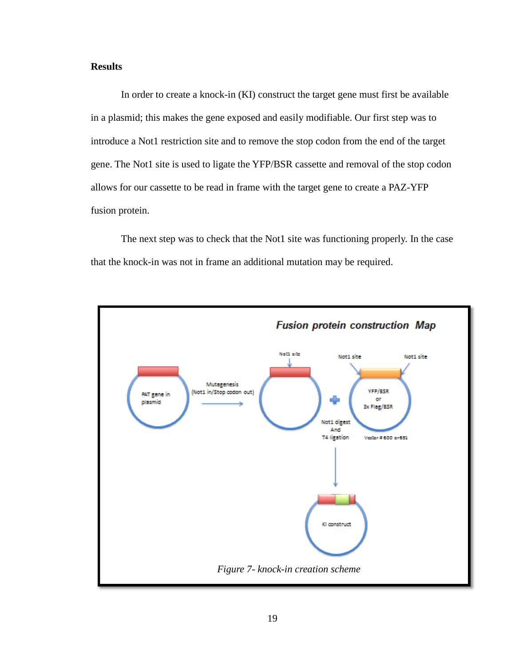### <span id="page-24-0"></span>**Results**

In order to create a knock-in (KI) construct the target gene must first be available in a plasmid; this makes the gene exposed and easily modifiable. Our first step was to introduce a Not1 restriction site and to remove the stop codon from the end of the target gene. The Not1 site is used to ligate the YFP/BSR cassette and removal of the stop codon allows for our cassette to be read in frame with the target gene to create a PAZ-YFP fusion protein.

The next step was to check that the Not1 site was functioning properly. In the case that the knock-in was not in frame an additional mutation may be required.

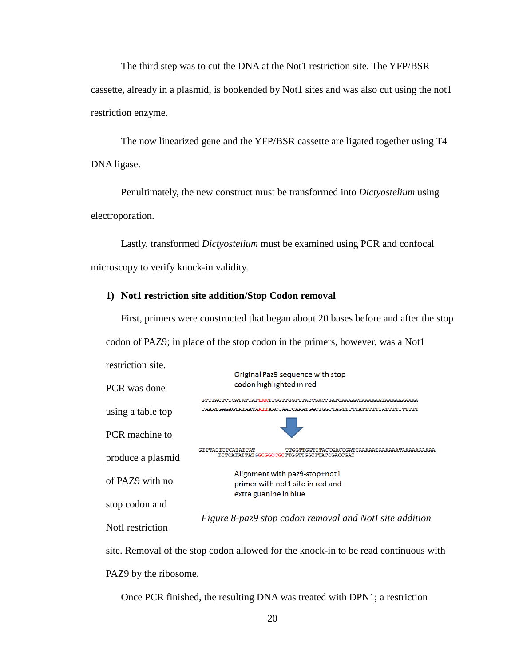The third step was to cut the DNA at the Not1 restriction site. The YFP/BSR cassette, already in a plasmid, is bookended by Not1 sites and was also cut using the not1 restriction enzyme.

The now linearized gene and the YFP/BSR cassette are ligated together using T4 DNA ligase.

Penultimately, the new construct must be transformed into *Dictyostelium* using electroporation.

Lastly, transformed *Dictyostelium* must be examined using PCR and confocal microscopy to verify knock-in validity.

#### **1) Not1 restriction site addition/Stop Codon removal**

First, primers were constructed that began about 20 bases before and after the stop codon of PAZ9; in place of the stop codon in the primers, however, was a Not1



site. Removal of the stop codon allowed for the knock-in to be read continuous with PAZ9 by the ribosome.

Once PCR finished, the resulting DNA was treated with DPN1; a restriction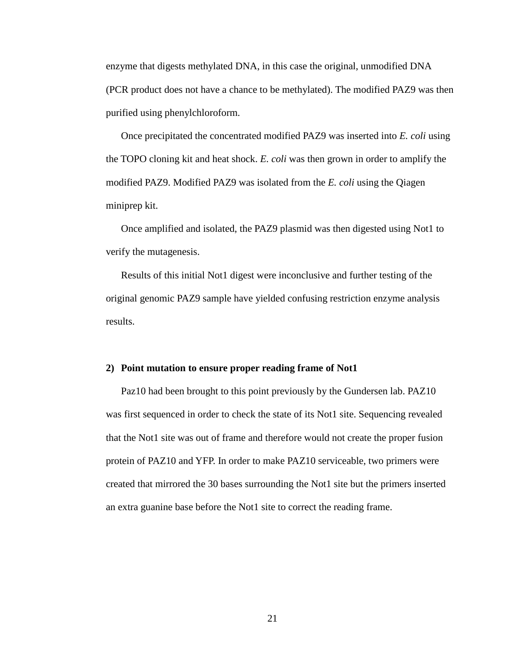enzyme that digests methylated DNA, in this case the original, unmodified DNA (PCR product does not have a chance to be methylated). The modified PAZ9 was then purified using phenylchloroform.

Once precipitated the concentrated modified PAZ9 was inserted into *E. coli* using the TOPO cloning kit and heat shock. *E. coli* was then grown in order to amplify the modified PAZ9. Modified PAZ9 was isolated from the *E. coli* using the Qiagen miniprep kit.

Once amplified and isolated, the PAZ9 plasmid was then digested using Not1 to verify the mutagenesis.

Results of this initial Not1 digest were inconclusive and further testing of the original genomic PAZ9 sample have yielded confusing restriction enzyme analysis results.

#### **2) Point mutation to ensure proper reading frame of Not1**

Paz10 had been brought to this point previously by the Gundersen lab. PAZ10 was first sequenced in order to check the state of its Not1 site. Sequencing revealed that the Not1 site was out of frame and therefore would not create the proper fusion protein of PAZ10 and YFP. In order to make PAZ10 serviceable, two primers were created that mirrored the 30 bases surrounding the Not1 site but the primers inserted an extra guanine base before the Not1 site to correct the reading frame.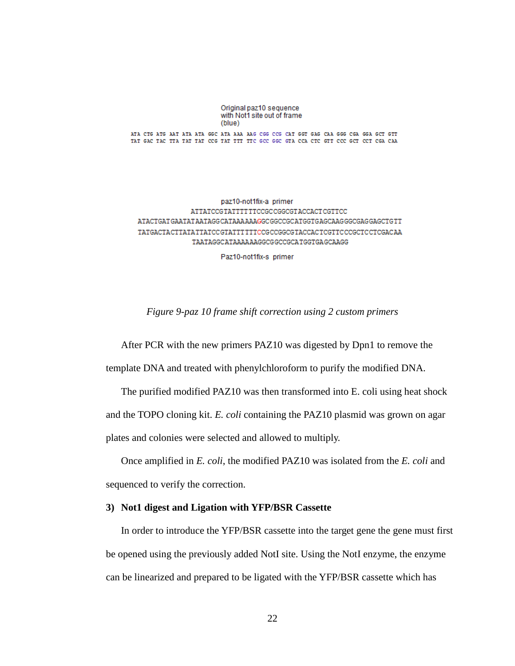#### Original paz10 sequence with Not1 site out of frame (blue)

ATA CTG ATG AAT ATA ATA GGC ATA AAA AAG CGG CCG CAT GGT GAG CAA GGG CGA GGA GCT GTT TAT GAC TAC TTA TAT TAT CCG TAT TIT TTC GCC GGC GTA CCA CTC GTT CCC GCT CCT CGA CAA

paz10-not1fix-a primer ATTATCCGTATTTTTTCCGCCGGCGTACCACTCGTTCC ATACTGATGAATATAATAGGCATAAAAAAGGCGGCCGCATGGTGAGCAAGGGCGAGGAGCTGTT TATGACTACTTATATTATCCGTATTTTTCCGCCGGCGTACCACTCGTTCCCGCTCCTCGACAA TAATAGGCATAAAAAAGGCGGCCGCATGGTGAGCAAGG

Paz10-not1fix-s primer

*Figure 9-paz 10 frame shift correction using 2 custom primers*

<span id="page-27-0"></span>After PCR with the new primers PAZ10 was digested by Dpn1 to remove the template DNA and treated with phenylchloroform to purify the modified DNA.

The purified modified PAZ10 was then transformed into E. coli using heat shock and the TOPO cloning kit. *E. coli* containing the PAZ10 plasmid was grown on agar plates and colonies were selected and allowed to multiply.

Once amplified in *E. coli*, the modified PAZ10 was isolated from the *E. coli* and sequenced to verify the correction.

#### **3) Not1 digest and Ligation with YFP/BSR Cassette**

In order to introduce the YFP/BSR cassette into the target gene the gene must first be opened using the previously added NotI site. Using the NotI enzyme, the enzyme can be linearized and prepared to be ligated with the YFP/BSR cassette which has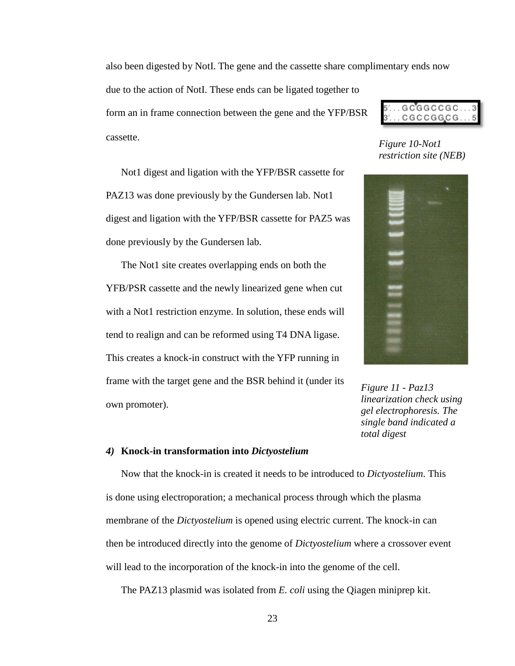also been digested by NotI. The gene and the cassette share complimentary ends now

due to the action of NotI. These ends can be ligated together to form an in frame connection between the gene and the YFP/BSR cassette.

Not1 digest and ligation with the YFP/BSR cassette for PAZ13 was done previously by the Gundersen lab. Not1 digest and ligation with the YFP/BSR cassette for PAZ5 was done previously by the Gundersen lab.

The Not1 site creates overlapping ends on both the YFB/PSR cassette and the newly linearized gene when cut with a Not1 restriction enzyme. In solution, these ends will tend to realign and can be reformed using T4 DNA ligase. This creates a knock-in construct with the YFP running in frame with the target gene and the BSR behind it (under its own promoter).



*Figure 10-Not1 restriction site (NEB)*



*Figure 11 - Paz13 linearization check using gel electrophoresis. The single band indicated a total digest*

#### *4)* **Knock-in transformation into** *Dictyostelium*

Now that the knock-in is created it needs to be introduced to *Dictyostelium*. This is done using electroporation; a mechanical process through which the plasma membrane of the *Dictyostelium* is opened using electric current. The knock-in can then be introduced directly into the genome of *Dictyostelium* where a crossover event will lead to the incorporation of the knock-in into the genome of the cell.

The PAZ13 plasmid was isolated from *E. coli* using the Qiagen miniprep kit.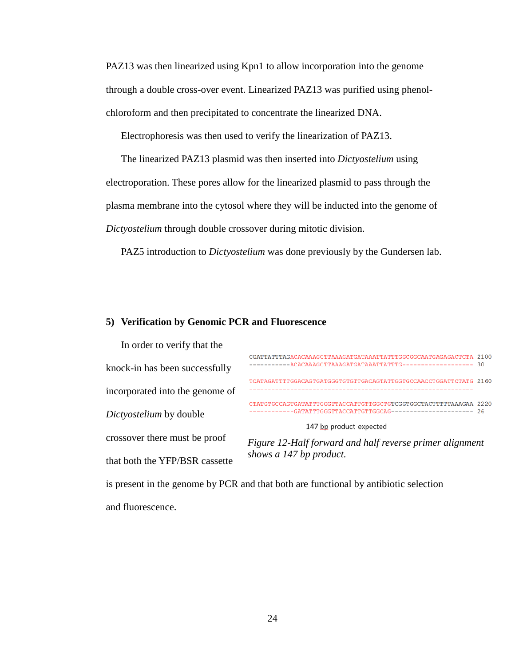PAZ13 was then linearized using Kpn1 to allow incorporation into the genome through a double cross-over event. Linearized PAZ13 was purified using phenolchloroform and then precipitated to concentrate the linearized DNA.

Electrophoresis was then used to verify the linearization of PAZ13.

The linearized PAZ13 plasmid was then inserted into *Dictyostelium* using electroporation. These pores allow for the linearized plasmid to pass through the plasma membrane into the cytosol where they will be inducted into the genome of *Dictyostelium* through double crossover during mitotic division.

PAZ5 introduction to *Dictyostelium* was done previously by the Gundersen lab.

#### **5) Verification by Genomic PCR and Fluorescence**

| In order to verify that the     |                                                                   |     |
|---------------------------------|-------------------------------------------------------------------|-----|
| knock-in has been successfully  | CGATTATTTAGACACAAAGCTTAAAGATGATAAATTATTTGGCGGCAATGAGAGACTCTA 2100 |     |
|                                 | TCATAGATTTTGGACAGTGATGGGTGTGTTGACAGTATTGGTGCCAACCTGGATTCTATG 2160 |     |
| incorporated into the genome of |                                                                   |     |
| Dictyostelium by double         | CTATGTGCCAGTGATATTTGGGTTACCATTGTTGGCTGTCGGTGGCTACTTTTTAAAGAA 2220 | -26 |
|                                 | 147 bp product expected                                           |     |
| crossover there must be proof   | Figure 12-Half forward and half reverse primer alignment          |     |
| that both the YFP/BSR cassette  | shows a 147 bp product.                                           |     |

is present in the genome by PCR and that both are functional by antibiotic selection and fluorescence.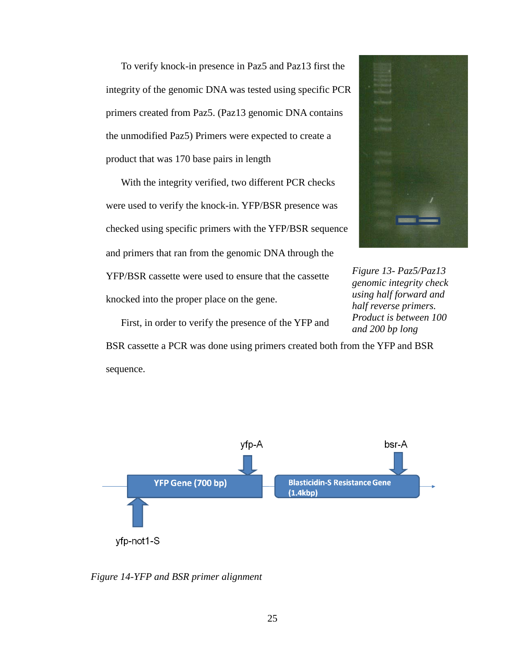To verify knock-in presence in Paz5 and Paz13 first the integrity of the genomic DNA was tested using specific PCR primers created from Paz5. (Paz13 genomic DNA contains the unmodified Paz5) Primers were expected to create a product that was 170 base pairs in length

With the integrity verified, two different PCR checks were used to verify the knock-in. YFP/BSR presence was checked using specific primers with the YFP/BSR sequence and primers that ran from the genomic DNA through the YFP/BSR cassette were used to ensure that the cassette knocked into the proper place on the gene.



*Figure 13- Paz5/Paz13 genomic integrity check using half forward and half reverse primers. Product is between 100 and 200 bp long*

First, in order to verify the presence of the YFP and

BSR cassette a PCR was done using primers created both from the YFP and BSR sequence.



<span id="page-30-0"></span>*Figure 14-YFP and BSR primer alignment*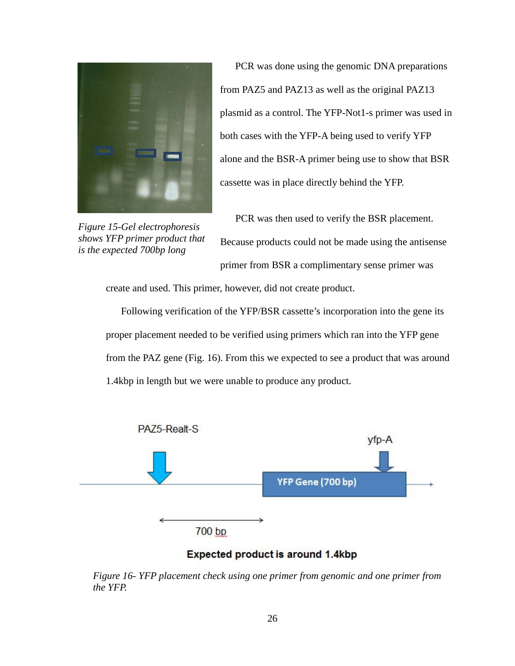

*Figure 15-Gel electrophoresis shows YFP primer product that is the expected 700bp long*

PCR was done using the genomic DNA preparations from PAZ5 and PAZ13 as well as the original PAZ13 plasmid as a control. The YFP-Not1-s primer was used in both cases with the YFP-A being used to verify YFP alone and the BSR-A primer being use to show that BSR cassette was in place directly behind the YFP.

PCR was then used to verify the BSR placement. Because products could not be made using the antisense primer from BSR a complimentary sense primer was

create and used. This primer, however, did not create product.

Following verification of the YFP/BSR cassette's incorporation into the gene its proper placement needed to be verified using primers which ran into the YFP gene from the PAZ gene (Fig. 16). From this we expected to see a product that was around 1.4kbp in length but we were unable to produce any product.



Expected product is around 1.4kbp

*Figure 16- YFP placement check using one primer from genomic and one primer from the YFP.*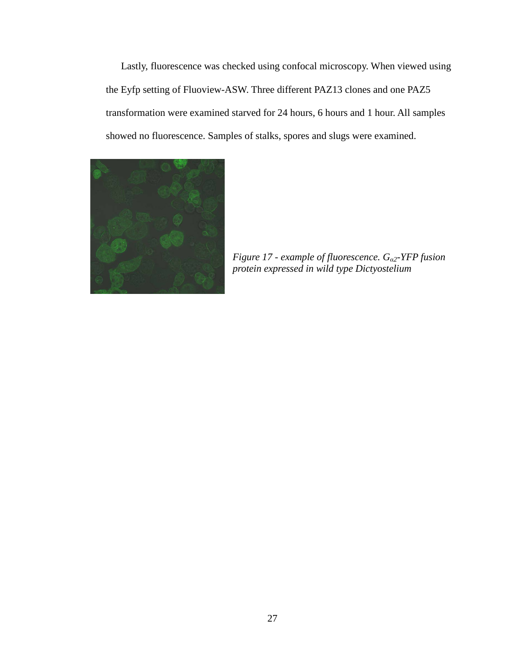Lastly, fluorescence was checked using confocal microscopy. When viewed using the Eyfp setting of Fluoview-ASW. Three different PAZ13 clones and one PAZ5 transformation were examined starved for 24 hours, 6 hours and 1 hour. All samples showed no fluorescence. Samples of stalks, spores and slugs were examined.

<span id="page-32-0"></span>

*Figure 17 - example of fluorescence. Gα2-YFP fusion protein expressed in wild type Dictyostelium*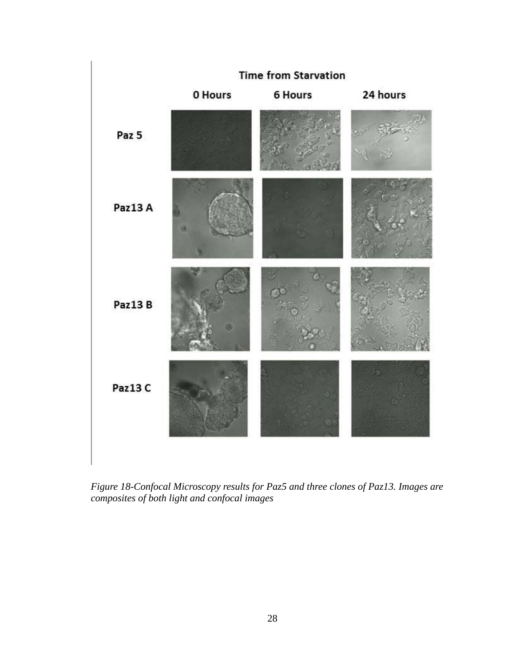

<span id="page-33-0"></span>*Figure 18-Confocal Microscopy results for Paz5 and three clones of Paz13. Images are composites of both light and confocal images*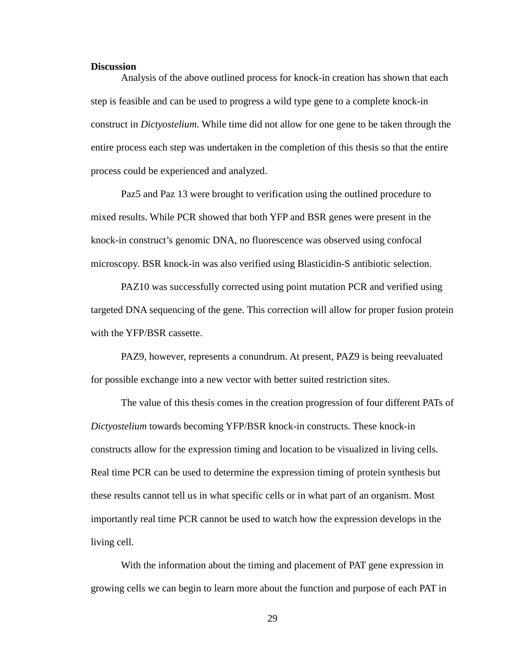#### <span id="page-34-0"></span>**Discussion**

Analysis of the above outlined process for knock-in creation has shown that each step is feasible and can be used to progress a wild type gene to a complete knock-in construct in *Dictyostelium*. While time did not allow for one gene to be taken through the entire process each step was undertaken in the completion of this thesis so that the entire process could be experienced and analyzed.

Paz5 and Paz 13 were brought to verification using the outlined procedure to mixed results. While PCR showed that both YFP and BSR genes were present in the knock-in construct's genomic DNA, no fluorescence was observed using confocal microscopy. BSR knock-in was also verified using Blasticidin-S antibiotic selection.

PAZ10 was successfully corrected using point mutation PCR and verified using targeted DNA sequencing of the gene. This correction will allow for proper fusion protein with the YFP/BSR cassette.

PAZ9, however, represents a conundrum. At present, PAZ9 is being reevaluated for possible exchange into a new vector with better suited restriction sites.

The value of this thesis comes in the creation progression of four different PATs of *Dictyostelium* towards becoming YFP/BSR knock-in constructs. These knock-in constructs allow for the expression timing and location to be visualized in living cells. Real time PCR can be used to determine the expression timing of protein synthesis but these results cannot tell us in what specific cells or in what part of an organism. Most importantly real time PCR cannot be used to watch how the expression develops in the living cell.

With the information about the timing and placement of PAT gene expression in growing cells we can begin to learn more about the function and purpose of each PAT in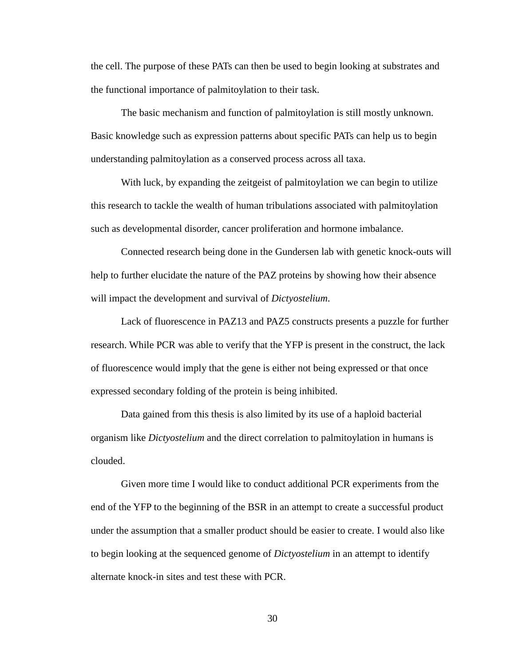the cell. The purpose of these PATs can then be used to begin looking at substrates and the functional importance of palmitoylation to their task.

The basic mechanism and function of palmitoylation is still mostly unknown. Basic knowledge such as expression patterns about specific PATs can help us to begin understanding palmitoylation as a conserved process across all taxa.

With luck, by expanding the zeitgeist of palmitoylation we can begin to utilize this research to tackle the wealth of human tribulations associated with palmitoylation such as developmental disorder, cancer proliferation and hormone imbalance.

Connected research being done in the Gundersen lab with genetic knock-outs will help to further elucidate the nature of the PAZ proteins by showing how their absence will impact the development and survival of *Dictyostelium*.

Lack of fluorescence in PAZ13 and PAZ5 constructs presents a puzzle for further research. While PCR was able to verify that the YFP is present in the construct, the lack of fluorescence would imply that the gene is either not being expressed or that once expressed secondary folding of the protein is being inhibited.

Data gained from this thesis is also limited by its use of a haploid bacterial organism like *Dictyostelium* and the direct correlation to palmitoylation in humans is clouded.

Given more time I would like to conduct additional PCR experiments from the end of the YFP to the beginning of the BSR in an attempt to create a successful product under the assumption that a smaller product should be easier to create. I would also like to begin looking at the sequenced genome of *Dictyostelium* in an attempt to identify alternate knock-in sites and test these with PCR.

30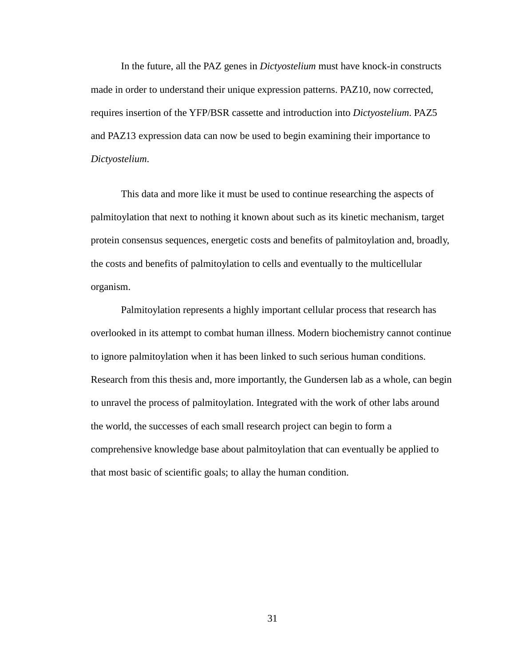In the future, all the PAZ genes in *Dictyostelium* must have knock-in constructs made in order to understand their unique expression patterns. PAZ10, now corrected, requires insertion of the YFP/BSR cassette and introduction into *Dictyostelium*. PAZ5 and PAZ13 expression data can now be used to begin examining their importance to *Dictyostelium*.

This data and more like it must be used to continue researching the aspects of palmitoylation that next to nothing it known about such as its kinetic mechanism, target protein consensus sequences, energetic costs and benefits of palmitoylation and, broadly, the costs and benefits of palmitoylation to cells and eventually to the multicellular organism.

Palmitoylation represents a highly important cellular process that research has overlooked in its attempt to combat human illness. Modern biochemistry cannot continue to ignore palmitoylation when it has been linked to such serious human conditions. Research from this thesis and, more importantly, the Gundersen lab as a whole, can begin to unravel the process of palmitoylation. Integrated with the work of other labs around the world, the successes of each small research project can begin to form a comprehensive knowledge base about palmitoylation that can eventually be applied to that most basic of scientific goals; to allay the human condition.

31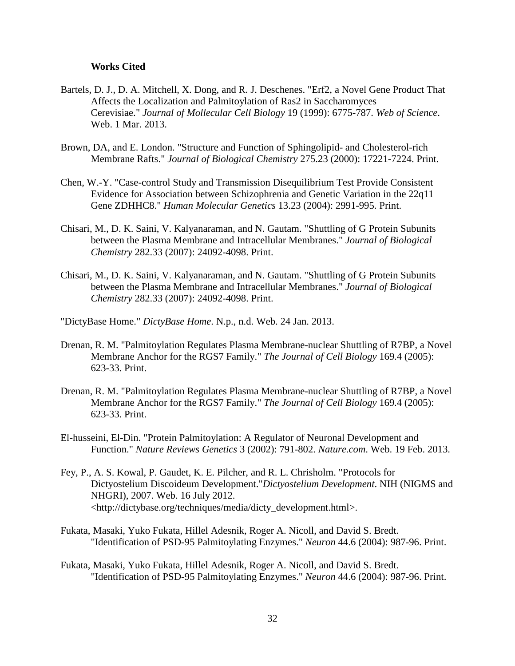#### <span id="page-37-0"></span>**Works Cited**

- Bartels, D. J., D. A. Mitchell, X. Dong, and R. J. Deschenes. "Erf2, a Novel Gene Product That Affects the Localization and Palmitoylation of Ras2 in Saccharomyces Cerevisiae." *Journal of Mollecular Cell Biology* 19 (1999): 6775-787. *Web of Science*. Web. 1 Mar. 2013.
- Brown, DA, and E. London. "Structure and Function of Sphingolipid- and Cholesterol-rich Membrane Rafts." *Journal of Biological Chemistry* 275.23 (2000): 17221-7224. Print.
- Chen, W.-Y. "Case-control Study and Transmission Disequilibrium Test Provide Consistent Evidence for Association between Schizophrenia and Genetic Variation in the 22q11 Gene ZDHHC8." *Human Molecular Genetics* 13.23 (2004): 2991-995. Print.
- Chisari, M., D. K. Saini, V. Kalyanaraman, and N. Gautam. "Shuttling of G Protein Subunits between the Plasma Membrane and Intracellular Membranes." *Journal of Biological Chemistry* 282.33 (2007): 24092-4098. Print.
- Chisari, M., D. K. Saini, V. Kalyanaraman, and N. Gautam. "Shuttling of G Protein Subunits between the Plasma Membrane and Intracellular Membranes." *Journal of Biological Chemistry* 282.33 (2007): 24092-4098. Print.
- "DictyBase Home." *DictyBase Home*. N.p., n.d. Web. 24 Jan. 2013.
- Drenan, R. M. "Palmitoylation Regulates Plasma Membrane-nuclear Shuttling of R7BP, a Novel Membrane Anchor for the RGS7 Family." *The Journal of Cell Biology* 169.4 (2005): 623-33. Print.
- Drenan, R. M. "Palmitoylation Regulates Plasma Membrane-nuclear Shuttling of R7BP, a Novel Membrane Anchor for the RGS7 Family." *The Journal of Cell Biology* 169.4 (2005): 623-33. Print.
- El-husseini, El-Din. "Protein Palmitoylation: A Regulator of Neuronal Development and Function." *Nature Reviews Genetics* 3 (2002): 791-802. *Nature.com*. Web. 19 Feb. 2013.
- Fey, P., A. S. Kowal, P. Gaudet, K. E. Pilcher, and R. L. Chrisholm. "Protocols for Dictyostelium Discoideum Development."*Dictyostelium Development*. NIH (NIGMS and NHGRI), 2007. Web. 16 July 2012. <http://dictybase.org/techniques/media/dicty\_development.html>.
- Fukata, Masaki, Yuko Fukata, Hillel Adesnik, Roger A. Nicoll, and David S. Bredt. "Identification of PSD-95 Palmitoylating Enzymes." *Neuron* 44.6 (2004): 987-96. Print.
- Fukata, Masaki, Yuko Fukata, Hillel Adesnik, Roger A. Nicoll, and David S. Bredt. "Identification of PSD-95 Palmitoylating Enzymes." *Neuron* 44.6 (2004): 987-96. Print.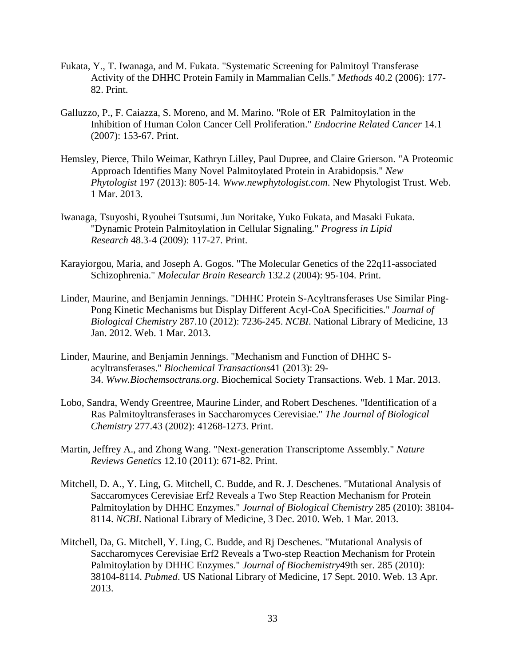- Fukata, Y., T. Iwanaga, and M. Fukata. "Systematic Screening for Palmitoyl Transferase Activity of the DHHC Protein Family in Mammalian Cells." *Methods* 40.2 (2006): 177- 82. Print.
- Galluzzo, P., F. Caiazza, S. Moreno, and M. Marino. "Role of ER Palmitoylation in the Inhibition of Human Colon Cancer Cell Proliferation." *Endocrine Related Cancer* 14.1 (2007): 153-67. Print.
- Hemsley, Pierce, Thilo Weimar, Kathryn Lilley, Paul Dupree, and Claire Grierson. "A Proteomic Approach Identifies Many Novel Palmitoylated Protein in Arabidopsis." *New Phytologist* 197 (2013): 805-14. *Www.newphytologist.com*. New Phytologist Trust. Web. 1 Mar. 2013.
- Iwanaga, Tsuyoshi, Ryouhei Tsutsumi, Jun Noritake, Yuko Fukata, and Masaki Fukata. "Dynamic Protein Palmitoylation in Cellular Signaling." *Progress in Lipid Research* 48.3-4 (2009): 117-27. Print.
- Karayiorgou, Maria, and Joseph A. Gogos. "The Molecular Genetics of the 22q11-associated Schizophrenia." *Molecular Brain Research* 132.2 (2004): 95-104. Print.
- Linder, Maurine, and Benjamin Jennings. "DHHC Protein S-Acyltransferases Use Similar Ping-Pong Kinetic Mechanisms but Display Different Acyl-CoA Specificities." *Journal of Biological Chemistry* 287.10 (2012): 7236-245. *NCBI*. National Library of Medicine, 13 Jan. 2012. Web. 1 Mar. 2013.
- Linder, Maurine, and Benjamin Jennings. "Mechanism and Function of DHHC Sacyltransferases." *Biochemical Transactions*41 (2013): 29- 34. *Www.Biochemsoctrans.org*. Biochemical Society Transactions. Web. 1 Mar. 2013.
- Lobo, Sandra, Wendy Greentree, Maurine Linder, and Robert Deschenes. "Identification of a Ras Palmitoyltransferases in Saccharomyces Cerevisiae." *The Journal of Biological Chemistry* 277.43 (2002): 41268-1273. Print.
- Martin, Jeffrey A., and Zhong Wang. "Next-generation Transcriptome Assembly." *Nature Reviews Genetics* 12.10 (2011): 671-82. Print.
- Mitchell, D. A., Y. Ling, G. Mitchell, C. Budde, and R. J. Deschenes. "Mutational Analysis of Saccaromyces Cerevisiae Erf2 Reveals a Two Step Reaction Mechanism for Protein Palmitoylation by DHHC Enzymes." *Journal of Biological Chemistry* 285 (2010): 38104- 8114. *NCBI*. National Library of Medicine, 3 Dec. 2010. Web. 1 Mar. 2013.
- Mitchell, Da, G. Mitchell, Y. Ling, C. Budde, and Rj Deschenes. "Mutational Analysis of Saccharomyces Cerevisiae Erf2 Reveals a Two-step Reaction Mechanism for Protein Palmitoylation by DHHC Enzymes." *Journal of Biochemistry*49th ser. 285 (2010): 38104-8114. *Pubmed*. US National Library of Medicine, 17 Sept. 2010. Web. 13 Apr. 2013.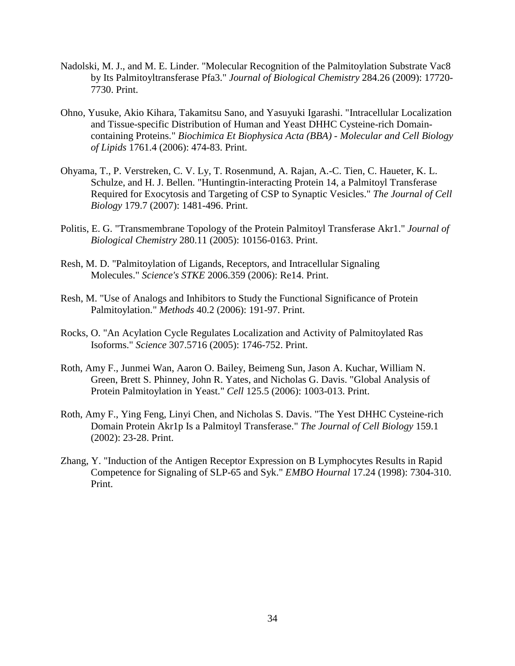- Nadolski, M. J., and M. E. Linder. "Molecular Recognition of the Palmitoylation Substrate Vac8 by Its Palmitoyltransferase Pfa3." *Journal of Biological Chemistry* 284.26 (2009): 17720- 7730. Print.
- Ohno, Yusuke, Akio Kihara, Takamitsu Sano, and Yasuyuki Igarashi. "Intracellular Localization and Tissue-specific Distribution of Human and Yeast DHHC Cysteine-rich Domaincontaining Proteins." *Biochimica Et Biophysica Acta (BBA) - Molecular and Cell Biology of Lipids* 1761.4 (2006): 474-83. Print.
- Ohyama, T., P. Verstreken, C. V. Ly, T. Rosenmund, A. Rajan, A.-C. Tien, C. Haueter, K. L. Schulze, and H. J. Bellen. "Huntingtin-interacting Protein 14, a Palmitoyl Transferase Required for Exocytosis and Targeting of CSP to Synaptic Vesicles." *The Journal of Cell Biology* 179.7 (2007): 1481-496. Print.
- Politis, E. G. "Transmembrane Topology of the Protein Palmitoyl Transferase Akr1." *Journal of Biological Chemistry* 280.11 (2005): 10156-0163. Print.
- Resh, M. D. "Palmitoylation of Ligands, Receptors, and Intracellular Signaling Molecules." *Science's STKE* 2006.359 (2006): Re14. Print.
- Resh, M. "Use of Analogs and Inhibitors to Study the Functional Significance of Protein Palmitoylation." *Methods* 40.2 (2006): 191-97. Print.
- Rocks, O. "An Acylation Cycle Regulates Localization and Activity of Palmitoylated Ras Isoforms." *Science* 307.5716 (2005): 1746-752. Print.
- Roth, Amy F., Junmei Wan, Aaron O. Bailey, Beimeng Sun, Jason A. Kuchar, William N. Green, Brett S. Phinney, John R. Yates, and Nicholas G. Davis. "Global Analysis of Protein Palmitoylation in Yeast." *Cell* 125.5 (2006): 1003-013. Print.
- Roth, Amy F., Ying Feng, Linyi Chen, and Nicholas S. Davis. "The Yest DHHC Cysteine-rich Domain Protein Akr1p Is a Palmitoyl Transferase." *The Journal of Cell Biology* 159.1 (2002): 23-28. Print.
- Zhang, Y. "Induction of the Antigen Receptor Expression on B Lymphocytes Results in Rapid Competence for Signaling of SLP-65 and Syk." *EMBO Hournal* 17.24 (1998): 7304-310. Print.